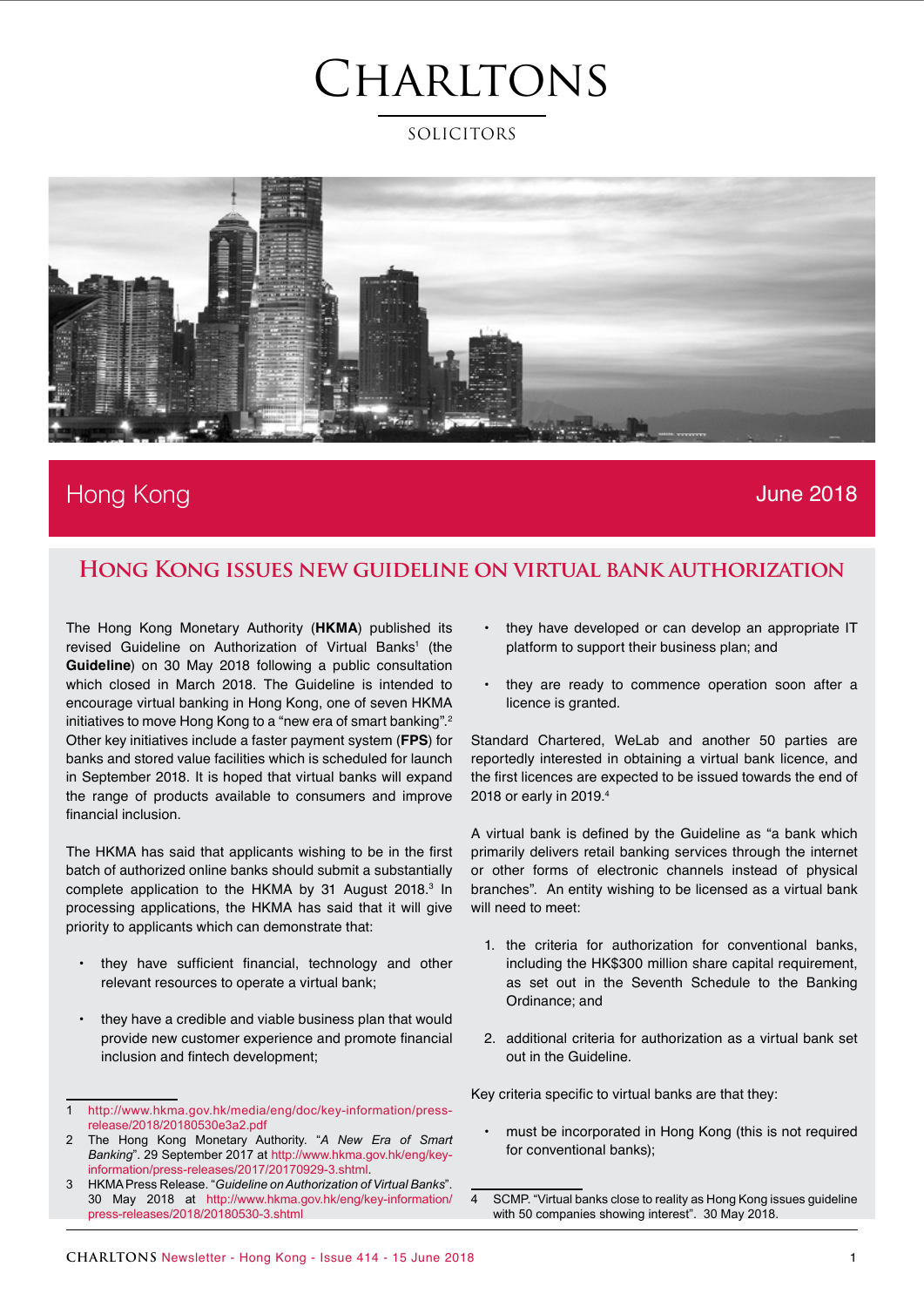### SOLICITORS



### Hong Kong June 2018

### **Hong Kong issues new guideline on virtual bank authorization**

The Hong Kong Monetary Authority (**HKMA**) published its revised Guideline on Authorization of Virtual Banks<sup>1</sup> (the **Guideline**) on 30 May 2018 following a public consultation which closed in March 2018. The Guideline is intended to encourage virtual banking in Hong Kong, one of seven HKMA initiatives to move Hong Kong to a "new era of smart banking".<sup>2</sup> Other key initiatives include a faster payment system (**FPS**) for banks and stored value facilities which is scheduled for launch in September 2018. It is hoped that virtual banks will expand the range of products available to consumers and improve financial inclusion.

The HKMA has said that applicants wishing to be in the first batch of authorized online banks should submit a substantially complete application to the HKMA by 31 August 2018.<sup>3</sup> In processing applications, the HKMA has said that it will give priority to applicants which can demonstrate that:

- **•** they have sufficient financial, technology and other relevant resources to operate a virtual bank;
- **•** they have a credible and viable business plan that would provide new customer experience and promote financial inclusion and fintech development;
- **•** they have developed or can develop an appropriate IT platform to support their business plan; and
- **•** they are ready to commence operation soon after a licence is granted.

Standard Chartered, WeLab and another 50 parties are reportedly interested in obtaining a virtual bank licence, and the first licences are expected to be issued towards the end of 2018 or early in 2019.4

A virtual bank is defined by the Guideline as "a bank which primarily delivers retail banking services through the internet or other forms of electronic channels instead of physical branches". An entity wishing to be licensed as a virtual bank will need to meet:

- 1. the criteria for authorization for conventional banks, including the HK\$300 million share capital requirement, as set out in the Seventh Schedule to the Banking Ordinance; and
- 2. additional criteria for authorization as a virtual bank set out in the Guideline.

Key criteria specific to virtual banks are that they:

**•** must be incorporated in Hong Kong (this is not required for conventional banks);

<sup>1</sup> [http://www.hkma.gov.hk/media/eng/doc/key-information/press](http://www.hkma.gov.hk/media/eng/doc/key-information/press-release/2018/20180530e3a2.pdf)[release/2018/20180530e3a2.pdf](http://www.hkma.gov.hk/media/eng/doc/key-information/press-release/2018/20180530e3a2.pdf)

<sup>2</sup> The Hong Kong Monetary Authority. "*A New Era of Smart Banking*". 29 September 2017 at [http://www.hkma.gov.hk/eng/key](http://www.hkma.gov.hk/eng/key-information/press-releases/2017/20170929-3.shtml)[information/press-releases/2017/20170929-3.shtml](http://www.hkma.gov.hk/eng/key-information/press-releases/2017/20170929-3.shtml).

<sup>3</sup> HKMA Press Release. "*Guideline on Authorization of Virtual Banks*". 30 May 2018 at [http://www.hkma.gov.hk/eng/key-information/](http://www.hkma.gov.hk/eng/key-information/press-releases/2018/20180530-3.shtml) [press-releases/2018/20180530-3.shtml](http://www.hkma.gov.hk/eng/key-information/press-releases/2018/20180530-3.shtml)

<sup>4</sup> SCMP. "Virtual banks close to reality as Hong Kong issues guideline with 50 companies showing interest". 30 May 2018.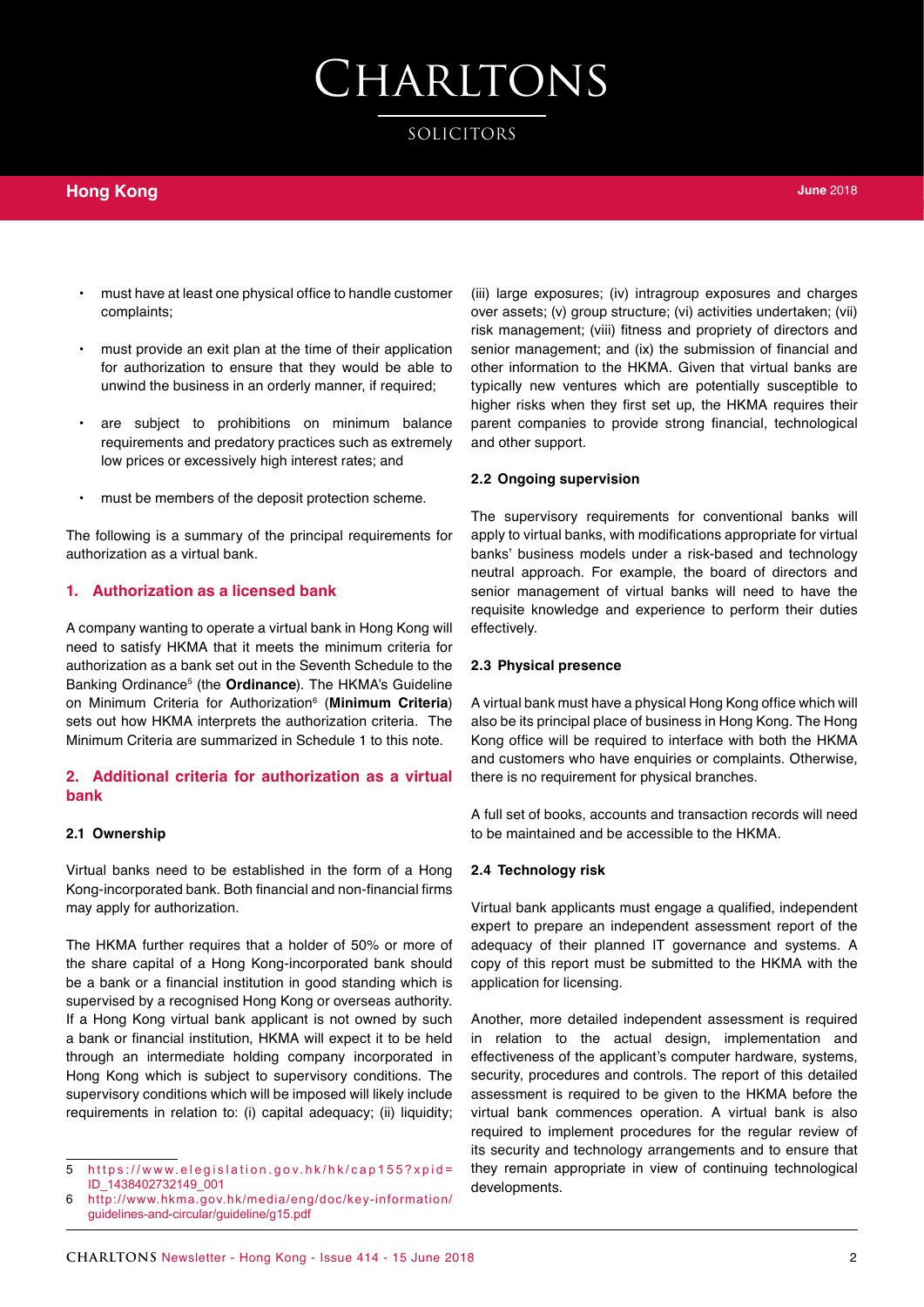SOLICITORS

### **Hong Kong**

- **•** must have at least one physical office to handle customer complaints;
- **•** must provide an exit plan at the time of their application for authorization to ensure that they would be able to unwind the business in an orderly manner, if required;
- **•** are subject to prohibitions on minimum balance requirements and predatory practices such as extremely low prices or excessively high interest rates; and
- **•** must be members of the deposit protection scheme.

The following is a summary of the principal requirements for authorization as a virtual bank.

#### **1. Authorization as a licensed bank**

A company wanting to operate a virtual bank in Hong Kong will need to satisfy HKMA that it meets the minimum criteria for authorization as a bank set out in the Seventh Schedule to the Banking Ordinance5 (the **Ordinance**). The HKMA's Guideline on Minimum Criteria for Authorization6 (**Minimum Criteria**) sets out how HKMA interprets the authorization criteria. The Minimum Criteria are summarized in Schedule 1 to this note.

#### **2. Additional criteria for authorization as a virtual bank**

#### **2.1 Ownership**

Virtual banks need to be established in the form of a Hong Kong-incorporated bank. Both financial and non-financial firms may apply for authorization.

The HKMA further requires that a holder of 50% or more of the share capital of a Hong Kong-incorporated bank should be a bank or a financial institution in good standing which is supervised by a recognised Hong Kong or overseas authority. If a Hong Kong virtual bank applicant is not owned by such a bank or financial institution, HKMA will expect it to be held through an intermediate holding company incorporated in Hong Kong which is subject to supervisory conditions. The supervisory conditions which will be imposed will likely include requirements in relation to: (i) capital adequacy; (ii) liquidity;

(iii) large exposures; (iv) intragroup exposures and charges over assets; (v) group structure; (vi) activities undertaken; (vii) risk management; (viii) fitness and propriety of directors and senior management; and (ix) the submission of financial and other information to the HKMA. Given that virtual banks are typically new ventures which are potentially susceptible to higher risks when they first set up, the HKMA requires their parent companies to provide strong financial, technological and other support.

#### **2.2 Ongoing supervision**

The supervisory requirements for conventional banks will apply to virtual banks, with modifications appropriate for virtual banks' business models under a risk-based and technology neutral approach. For example, the board of directors and senior management of virtual banks will need to have the requisite knowledge and experience to perform their duties effectively.

#### **2.3 Physical presence**

A virtual bank must have a physical Hong Kong office which will also be its principal place of business in Hong Kong. The Hong Kong office will be required to interface with both the HKMA and customers who have enquiries or complaints. Otherwise, there is no requirement for physical branches.

A full set of books, accounts and transaction records will need to be maintained and be accessible to the HKMA.

#### **2.4 Technology risk**

Virtual bank applicants must engage a qualified, independent expert to prepare an independent assessment report of the adequacy of their planned IT governance and systems. A copy of this report must be submitted to the HKMA with the application for licensing.

Another, more detailed independent assessment is required in relation to the actual design, implementation and effectiveness of the applicant's computer hardware, systems, security, procedures and controls. The report of this detailed assessment is required to be given to the HKMA before the virtual bank commences operation. A virtual bank is also required to implement procedures for the regular review of its security and technology arrangements and to ensure that they remain appropriate in view of continuing technological developments.

<sup>5</sup> [https://www.elegislation.gov.hk/hk/cap155?xpid=](https://www.elegislation.gov.hk/hk/cap155?xpid=ID_1438402732149_001) [ID\\_1438402732149\\_001](https://www.elegislation.gov.hk/hk/cap155?xpid=ID_1438402732149_001)

<sup>6</sup> [http://www.hkma.gov.hk/media/eng/doc/key-information/](http://www.hkma.gov.hk/media/eng/doc/key-information/guidelines-and-circular/guideline/g15.pdf) [guidelines-and-circular/guideline/g15.pdf](http://www.hkma.gov.hk/media/eng/doc/key-information/guidelines-and-circular/guideline/g15.pdf)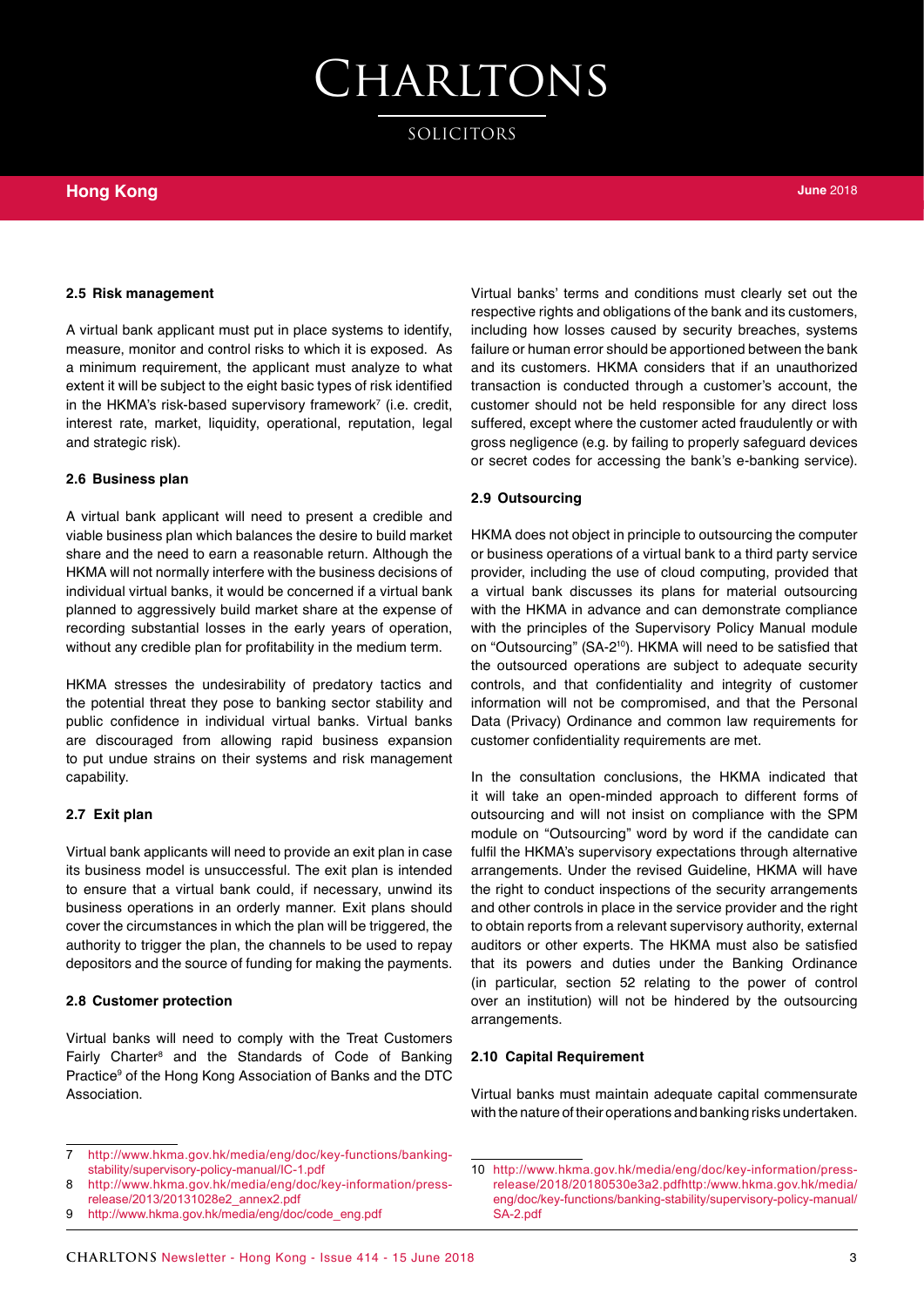SOLICITORS

### **Hong Kong**

#### **2.5 Risk management**

A virtual bank applicant must put in place systems to identify, measure, monitor and control risks to which it is exposed. As a minimum requirement, the applicant must analyze to what extent it will be subject to the eight basic types of risk identified in the HKMA's risk-based supervisory framework<sup>7</sup> (i.e. credit, interest rate, market, liquidity, operational, reputation, legal and strategic risk).

#### **2.6 Business plan**

A virtual bank applicant will need to present a credible and viable business plan which balances the desire to build market share and the need to earn a reasonable return. Although the HKMA will not normally interfere with the business decisions of individual virtual banks, it would be concerned if a virtual bank planned to aggressively build market share at the expense of recording substantial losses in the early years of operation, without any credible plan for profitability in the medium term.

HKMA stresses the undesirability of predatory tactics and the potential threat they pose to banking sector stability and public confidence in individual virtual banks. Virtual banks are discouraged from allowing rapid business expansion to put undue strains on their systems and risk management capability.

#### **2.7 Exit plan**

Virtual bank applicants will need to provide an exit plan in case its business model is unsuccessful. The exit plan is intended to ensure that a virtual bank could, if necessary, unwind its business operations in an orderly manner. Exit plans should cover the circumstances in which the plan will be triggered, the authority to trigger the plan, the channels to be used to repay depositors and the source of funding for making the payments.

#### **2.8 Customer protection**

Virtual banks will need to comply with the Treat Customers Fairly Charter<sup>8</sup> and the Standards of Code of Banking Practice<sup>9</sup> of the Hong Kong Association of Banks and the DTC Association.

Virtual banks' terms and conditions must clearly set out the respective rights and obligations of the bank and its customers, including how losses caused by security breaches, systems failure or human error should be apportioned between the bank and its customers. HKMA considers that if an unauthorized transaction is conducted through a customer's account, the customer should not be held responsible for any direct loss suffered, except where the customer acted fraudulently or with gross negligence (e.g. by failing to properly safeguard devices or secret codes for accessing the bank's e-banking service).

#### **2.9 Outsourcing**

HKMA does not object in principle to outsourcing the computer or business operations of a virtual bank to a third party service provider, including the use of cloud computing, provided that a virtual bank discusses its plans for material outsourcing with the HKMA in advance and can demonstrate compliance with the principles of the Supervisory Policy Manual module on "Outsourcing" (SA-210). HKMA will need to be satisfied that the outsourced operations are subject to adequate security controls, and that confidentiality and integrity of customer information will not be compromised, and that the Personal Data (Privacy) Ordinance and common law requirements for customer confidentiality requirements are met.

In the consultation conclusions, the HKMA indicated that it will take an open-minded approach to different forms of outsourcing and will not insist on compliance with the SPM module on "Outsourcing" word by word if the candidate can fulfil the HKMA's supervisory expectations through alternative arrangements. Under the revised Guideline, HKMA will have the right to conduct inspections of the security arrangements and other controls in place in the service provider and the right to obtain reports from a relevant supervisory authority, external auditors or other experts. The HKMA must also be satisfied that its powers and duties under the Banking Ordinance (in particular, section 52 relating to the power of control over an institution) will not be hindered by the outsourcing arrangements.

#### **2.10 Capital Requirement**

Virtual banks must maintain adequate capital commensurate with the nature of their operations and banking risks undertaken.

<sup>7</sup> [http://www.hkma.gov.hk/media/eng/doc/key-functions/banking](http://www.hkma.gov.hk/media/eng/doc/key-functions/banking-stability/supervisory-policy-manual/IC-1.pdf)[stability/supervisory-policy-manual/IC-1.pdf](http://www.hkma.gov.hk/media/eng/doc/key-functions/banking-stability/supervisory-policy-manual/IC-1.pdf)

<sup>8</sup> [http://www.hkma.gov.hk/media/eng/doc/key-information/press](http://www.hkma.gov.hk/media/eng/doc/key-information/press-release/2013/20131028e2_annex2.pdf)[release/2013/20131028e2\\_annex2.pdf](http://www.hkma.gov.hk/media/eng/doc/key-information/press-release/2013/20131028e2_annex2.pdf)

<sup>9</sup> [http://www.hkma.gov.hk/media/eng/doc/code\\_eng.pdf](http://www.hkma.gov.hk/media/eng/doc/code_eng.pdf)

<sup>10</sup> [http://www.hkma.gov.hk/media/eng/doc/key-information/press](http://www.hkma.gov.hk/media/eng/doc/key-information/press-release/2018/20180530e3a2.pdfhttp:/www.hkma.gov.hk/media/eng/doc/key-functions/banking-stability/supervisory-policy-manual/SA-2.pdf)[release/2018/20180530e3a2.pdfhttp:/www.hkma.gov.hk/media/](http://www.hkma.gov.hk/media/eng/doc/key-information/press-release/2018/20180530e3a2.pdfhttp:/www.hkma.gov.hk/media/eng/doc/key-functions/banking-stability/supervisory-policy-manual/SA-2.pdf) [eng/doc/key-functions/banking-stability/supervisory-policy-manual/](http://www.hkma.gov.hk/media/eng/doc/key-information/press-release/2018/20180530e3a2.pdfhttp:/www.hkma.gov.hk/media/eng/doc/key-functions/banking-stability/supervisory-policy-manual/SA-2.pdf) [SA-2.pdf](http://www.hkma.gov.hk/media/eng/doc/key-information/press-release/2018/20180530e3a2.pdfhttp:/www.hkma.gov.hk/media/eng/doc/key-functions/banking-stability/supervisory-policy-manual/SA-2.pdf)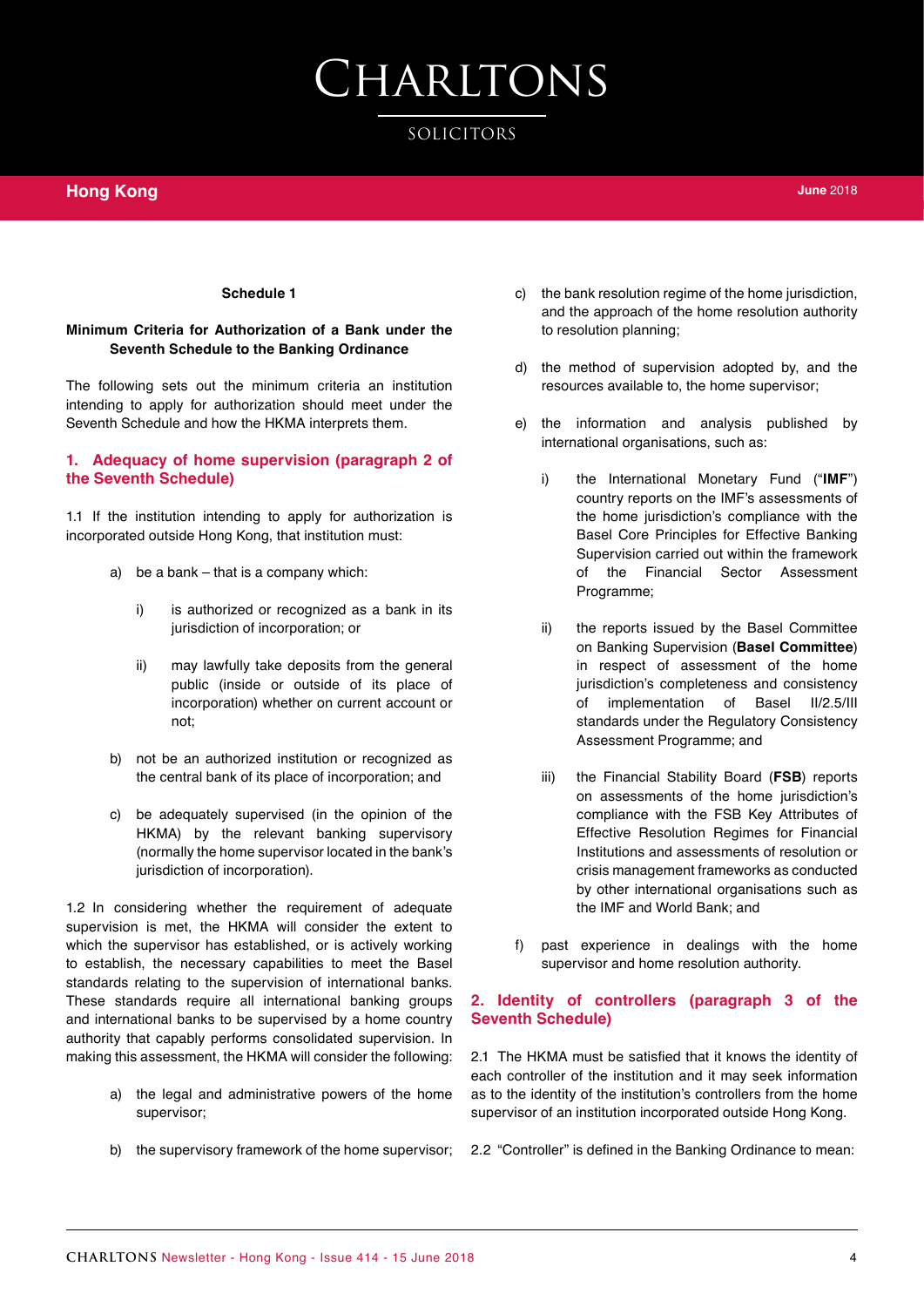#### **Schedule 1**

#### **Minimum Criteria for Authorization of a Bank under the Seventh Schedule to the Banking Ordinance**

The following sets out the minimum criteria an institution intending to apply for authorization should meet under the Seventh Schedule and how the HKMA interprets them.

#### **1. Adequacy of home supervision (paragraph 2 of the Seventh Schedule)**

1.1 If the institution intending to apply for authorization is incorporated outside Hong Kong, that institution must:

- a) be a bank that is a company which:
	- i) is authorized or recognized as a bank in its jurisdiction of incorporation; or
	- ii) may lawfully take deposits from the general public (inside or outside of its place of incorporation) whether on current account or not;
- b) not be an authorized institution or recognized as the central bank of its place of incorporation; and
- c) be adequately supervised (in the opinion of the HKMA) by the relevant banking supervisory (normally the home supervisor located in the bank's jurisdiction of incorporation).

1.2 In considering whether the requirement of adequate supervision is met, the HKMA will consider the extent to which the supervisor has established, or is actively working to establish, the necessary capabilities to meet the Basel standards relating to the supervision of international banks. These standards require all international banking groups and international banks to be supervised by a home country authority that capably performs consolidated supervision. In making this assessment, the HKMA will consider the following:

- a) the legal and administrative powers of the home supervisor;
- b) the supervisory framework of the home supervisor;
- c) the bank resolution regime of the home jurisdiction, and the approach of the home resolution authority to resolution planning;
- d) the method of supervision adopted by, and the resources available to, the home supervisor;
- e) the information and analysis published by international organisations, such as:
	- i) the International Monetary Fund ("**IMF**") country reports on the IMF's assessments of the home jurisdiction's compliance with the Basel Core Principles for Effective Banking Supervision carried out within the framework of the Financial Sector Assessment Programme;
	- ii) the reports issued by the Basel Committee on Banking Supervision (**Basel Committee**) in respect of assessment of the home jurisdiction's completeness and consistency of implementation of Basel II/2.5/III standards under the Regulatory Consistency Assessment Programme; and
	- iii) the Financial Stability Board (**FSB**) reports on assessments of the home jurisdiction's compliance with the FSB Key Attributes of Effective Resolution Regimes for Financial Institutions and assessments of resolution or crisis management frameworks as conducted by other international organisations such as the IMF and World Bank; and
- f) past experience in dealings with the home supervisor and home resolution authority.

#### **2. Identity of controllers (paragraph 3 of the Seventh Schedule)**

2.1 The HKMA must be satisfied that it knows the identity of each controller of the institution and it may seek information as to the identity of the institution's controllers from the home supervisor of an institution incorporated outside Hong Kong.

2.2 "Controller" is defined in the Banking Ordinance to mean: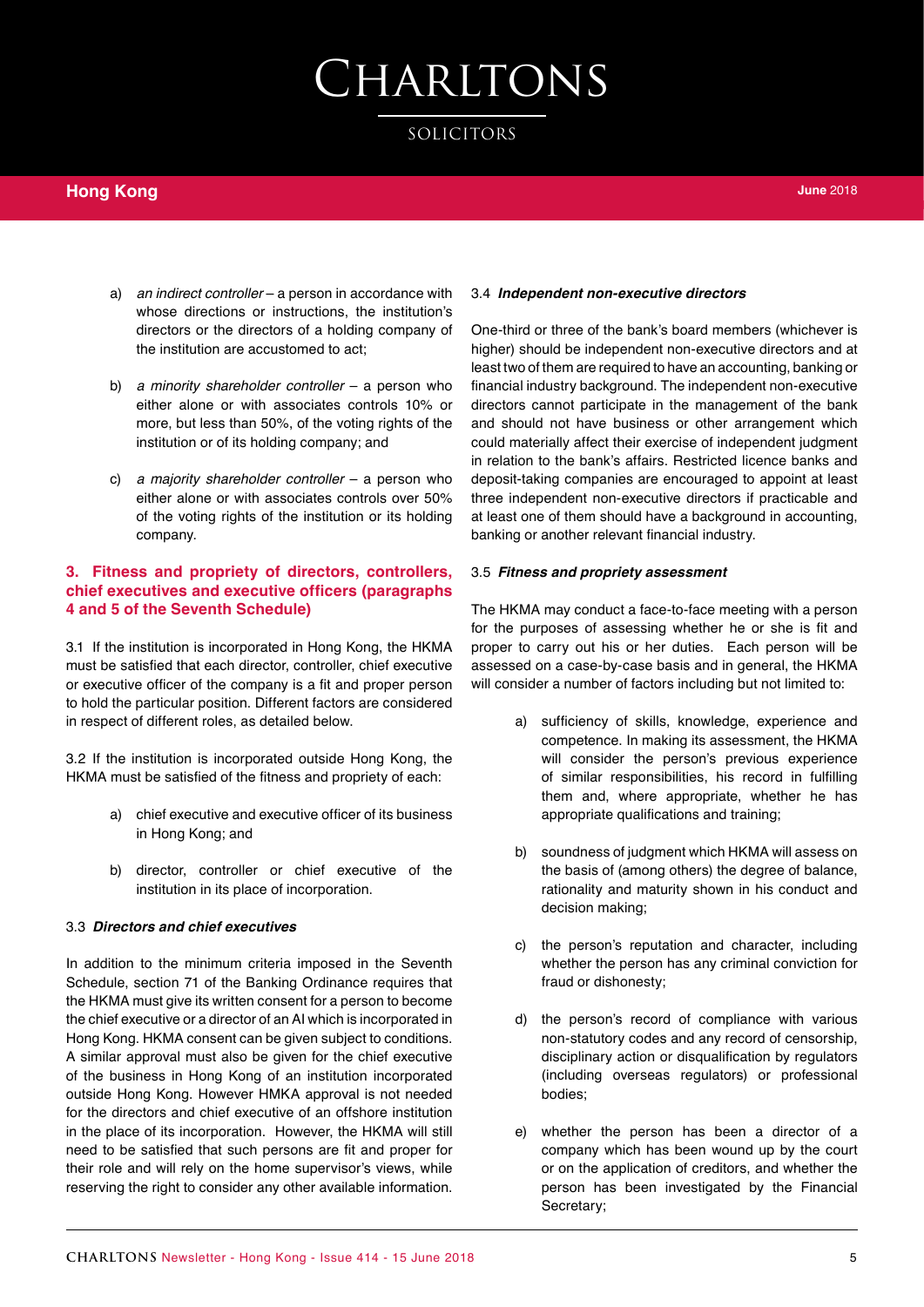SOLICITORS

- a) *an indirect controller* a person in accordance with whose directions or instructions, the institution's directors or the directors of a holding company of the institution are accustomed to act;
- b) *a minority shareholder controller* a person who either alone or with associates controls 10% or more, but less than 50%, of the voting rights of the institution or of its holding company; and
- c) *a majority shareholder controller* a person who either alone or with associates controls over 50% of the voting rights of the institution or its holding company.

#### **3. Fitness and propriety of directors, controllers, chief executives and executive officers (paragraphs 4 and 5 of the Seventh Schedule)**

3.1 If the institution is incorporated in Hong Kong, the HKMA must be satisfied that each director, controller, chief executive or executive officer of the company is a fit and proper person to hold the particular position. Different factors are considered in respect of different roles, as detailed below.

3.2 If the institution is incorporated outside Hong Kong, the HKMA must be satisfied of the fitness and propriety of each:

- a) chief executive and executive officer of its business in Hong Kong; and
- b) director, controller or chief executive of the institution in its place of incorporation.

#### 3.3 *Directors and chief executives*

In addition to the minimum criteria imposed in the Seventh Schedule, section 71 of the Banking Ordinance requires that the HKMA must give its written consent for a person to become the chief executive or a director of an AI which is incorporated in Hong Kong. HKMA consent can be given subject to conditions. A similar approval must also be given for the chief executive of the business in Hong Kong of an institution incorporated outside Hong Kong. However HMKA approval is not needed for the directors and chief executive of an offshore institution in the place of its incorporation. However, the HKMA will still need to be satisfied that such persons are fit and proper for their role and will rely on the home supervisor's views, while reserving the right to consider any other available information.

#### 3.4 *Independent non-executive directors*

One-third or three of the bank's board members (whichever is higher) should be independent non-executive directors and at least two of them are required to have an accounting, banking or financial industry background. The independent non-executive directors cannot participate in the management of the bank and should not have business or other arrangement which could materially affect their exercise of independent judgment in relation to the bank's affairs. Restricted licence banks and deposit-taking companies are encouraged to appoint at least three independent non-executive directors if practicable and at least one of them should have a background in accounting, banking or another relevant financial industry.

#### 3.5 *Fitness and propriety assessment*

The HKMA may conduct a face-to-face meeting with a person for the purposes of assessing whether he or she is fit and proper to carry out his or her duties. Each person will be assessed on a case-by-case basis and in general, the HKMA will consider a number of factors including but not limited to:

- a) sufficiency of skills, knowledge, experience and competence. In making its assessment, the HKMA will consider the person's previous experience of similar responsibilities, his record in fulfilling them and, where appropriate, whether he has appropriate qualifications and training;
- b) soundness of judgment which HKMA will assess on the basis of (among others) the degree of balance, rationality and maturity shown in his conduct and decision making;
- c) the person's reputation and character, including whether the person has any criminal conviction for fraud or dishonesty;
- d) the person's record of compliance with various non-statutory codes and any record of censorship, disciplinary action or disqualification by regulators (including overseas regulators) or professional bodies;
- e) whether the person has been a director of a company which has been wound up by the court or on the application of creditors, and whether the person has been investigated by the Financial Secretary;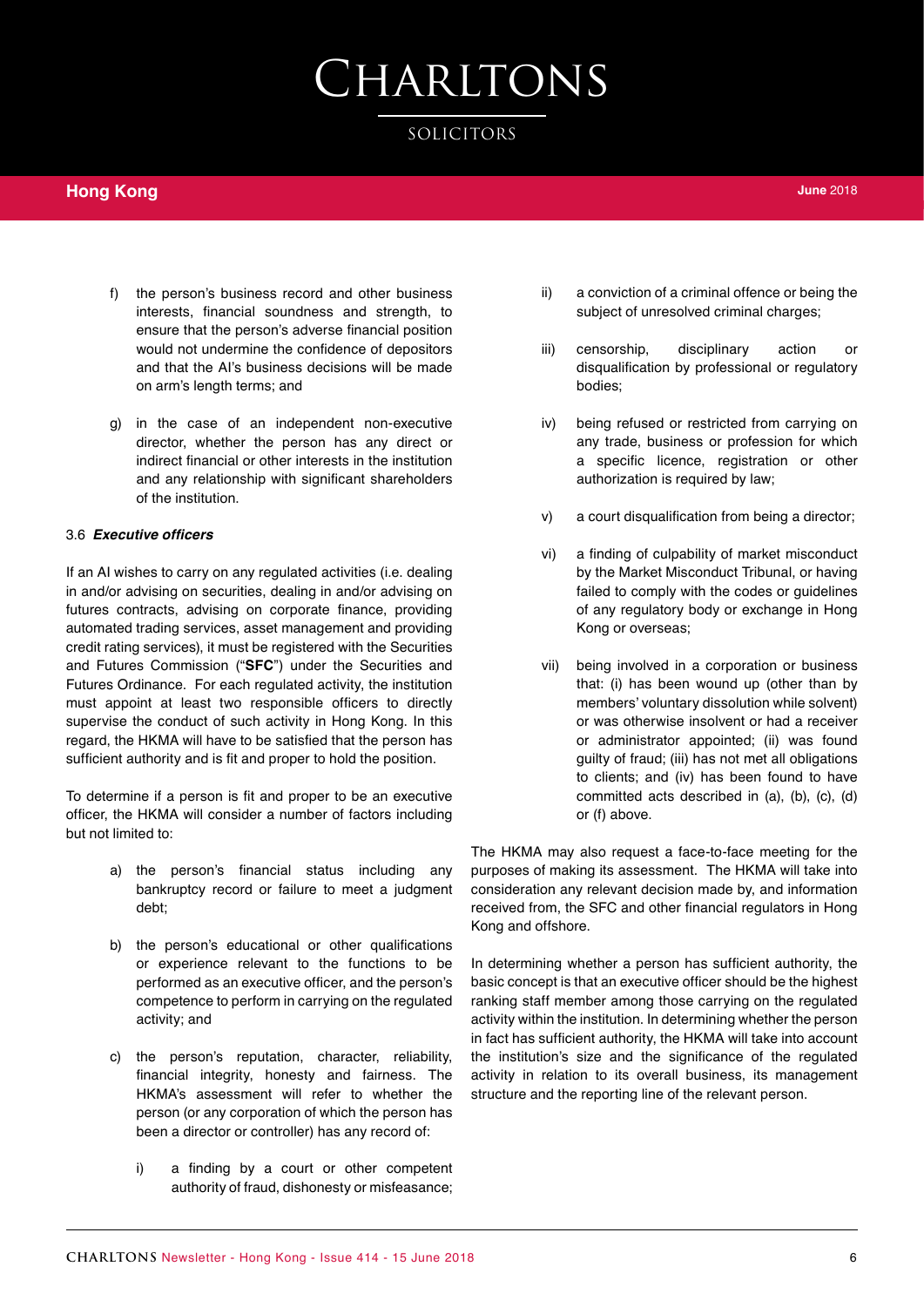### SOLICITORS

### **Hong Kong**

- f) the person's business record and other business interests, financial soundness and strength, to ensure that the person's adverse financial position would not undermine the confidence of depositors and that the AI's business decisions will be made on arm's length terms; and
- g) in the case of an independent non-executive director, whether the person has any direct or indirect financial or other interests in the institution and any relationship with significant shareholders of the institution.

#### 3.6 **Executive officers**

If an AI wishes to carry on any regulated activities (i.e. dealing in and/or advising on securities, dealing in and/or advising on futures contracts, advising on corporate finance, providing automated trading services, asset management and providing credit rating services), it must be registered with the Securities and Futures Commission ("**SFC**") under the Securities and Futures Ordinance. For each regulated activity, the institution must appoint at least two responsible officers to directly supervise the conduct of such activity in Hong Kong. In this regard, the HKMA will have to be satisfied that the person has sufficient authority and is fit and proper to hold the position.

To determine if a person is fit and proper to be an executive officer, the HKMA will consider a number of factors including but not limited to:

- a) the person's financial status including any bankruptcy record or failure to meet a judgment debt;
- b) the person's educational or other qualifications or experience relevant to the functions to be performed as an executive officer, and the person's competence to perform in carrying on the regulated activity; and
- c) the person's reputation, character, reliability, financial integrity, honesty and fairness. The HKMA's assessment will refer to whether the person (or any corporation of which the person has been a director or controller) has any record of:
	- i) a finding by a court or other competent authority of fraud, dishonesty or misfeasance;
- ii) a conviction of a criminal offence or being the subject of unresolved criminal charges;
- iii) censorship, disciplinary action or disqualification by professional or regulatory bodies;
- iv) being refused or restricted from carrying on any trade, business or profession for which a specific licence, registration or other authorization is required by law;
- v) a court disqualification from being a director;
- vi) a finding of culpability of market misconduct by the Market Misconduct Tribunal, or having failed to comply with the codes or guidelines of any regulatory body or exchange in Hong Kong or overseas;
- vii) being involved in a corporation or business that: (i) has been wound up (other than by members' voluntary dissolution while solvent) or was otherwise insolvent or had a receiver or administrator appointed; (ii) was found guilty of fraud; (iii) has not met all obligations to clients; and (iv) has been found to have committed acts described in (a), (b), (c), (d) or (f) above.

The HKMA may also request a face-to-face meeting for the purposes of making its assessment. The HKMA will take into consideration any relevant decision made by, and information received from, the SFC and other financial regulators in Hong Kong and offshore.

In determining whether a person has sufficient authority, the basic concept is that an executive officer should be the highest ranking staff member among those carrying on the regulated activity within the institution. In determining whether the person in fact has sufficient authority, the HKMA will take into account the institution's size and the significance of the regulated activity in relation to its overall business, its management structure and the reporting line of the relevant person.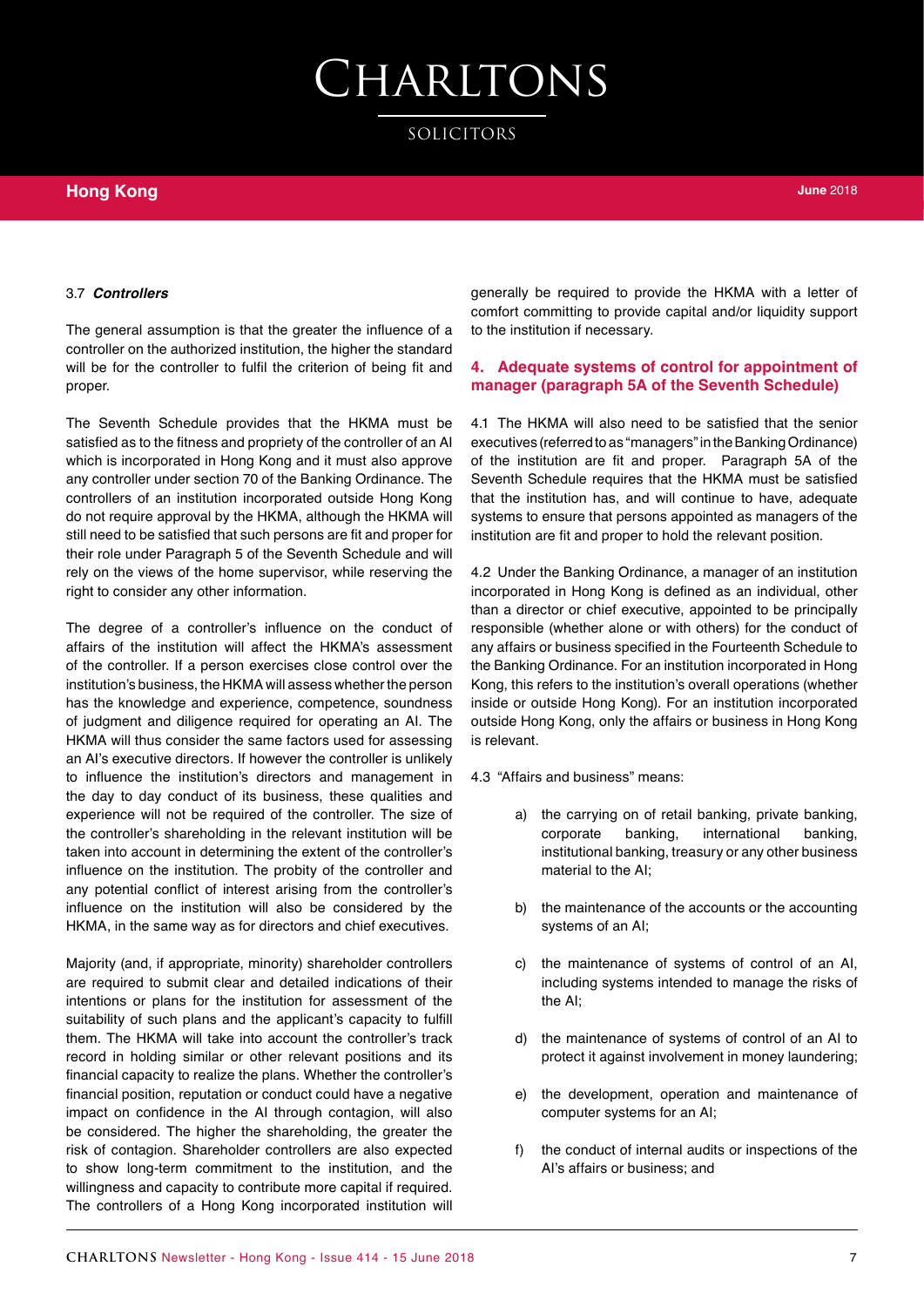SOLICITORS

#### 3.7 *Controllers*

The general assumption is that the greater the influence of a controller on the authorized institution, the higher the standard will be for the controller to fulfil the criterion of being fit and proper.

The Seventh Schedule provides that the HKMA must be satisfied as to the fitness and propriety of the controller of an AI which is incorporated in Hong Kong and it must also approve any controller under section 70 of the Banking Ordinance. The controllers of an institution incorporated outside Hong Kong do not require approval by the HKMA, although the HKMA will still need to be satisfied that such persons are fit and proper for their role under Paragraph 5 of the Seventh Schedule and will rely on the views of the home supervisor, while reserving the right to consider any other information.

The degree of a controller's influence on the conduct of affairs of the institution will affect the HKMA's assessment of the controller. If a person exercises close control over the institution's business, the HKMA will assess whether the person has the knowledge and experience, competence, soundness of judgment and diligence required for operating an AI. The HKMA will thus consider the same factors used for assessing an AI's executive directors. If however the controller is unlikely to influence the institution's directors and management in the day to day conduct of its business, these qualities and experience will not be required of the controller. The size of the controller's shareholding in the relevant institution will be taken into account in determining the extent of the controller's influence on the institution. The probity of the controller and any potential conflict of interest arising from the controller's influence on the institution will also be considered by the HKMA, in the same way as for directors and chief executives.

Majority (and, if appropriate, minority) shareholder controllers are required to submit clear and detailed indications of their intentions or plans for the institution for assessment of the suitability of such plans and the applicant's capacity to fulfill them. The HKMA will take into account the controller's track record in holding similar or other relevant positions and its financial capacity to realize the plans. Whether the controller's financial position, reputation or conduct could have a negative impact on confidence in the AI through contagion, will also be considered. The higher the shareholding, the greater the risk of contagion. Shareholder controllers are also expected to show long-term commitment to the institution, and the willingness and capacity to contribute more capital if required. The controllers of a Hong Kong incorporated institution will

generally be required to provide the HKMA with a letter of comfort committing to provide capital and/or liquidity support to the institution if necessary.

#### **4. Adequate systems of control for appointment of manager (paragraph 5A of the Seventh Schedule)**

4.1 The HKMA will also need to be satisfied that the senior executives (referred to as "managers" in the Banking Ordinance) of the institution are fit and proper. Paragraph 5A of the Seventh Schedule requires that the HKMA must be satisfied that the institution has, and will continue to have, adequate systems to ensure that persons appointed as managers of the institution are fit and proper to hold the relevant position.

4.2 Under the Banking Ordinance, a manager of an institution incorporated in Hong Kong is defined as an individual, other than a director or chief executive, appointed to be principally responsible (whether alone or with others) for the conduct of any affairs or business specified in the Fourteenth Schedule to the Banking Ordinance. For an institution incorporated in Hong Kong, this refers to the institution's overall operations (whether inside or outside Hong Kong). For an institution incorporated outside Hong Kong, only the affairs or business in Hong Kong is relevant.

4.3 "Affairs and business" means:

- a) the carrying on of retail banking, private banking, corporate banking, international banking, institutional banking, treasury or any other business material to the AI;
- b) the maintenance of the accounts or the accounting systems of an AI;
- c) the maintenance of systems of control of an AI, including systems intended to manage the risks of the AI;
- d) the maintenance of systems of control of an AI to protect it against involvement in money laundering;
- e) the development, operation and maintenance of computer systems for an AI;
- f) the conduct of internal audits or inspections of the AI's affairs or business; and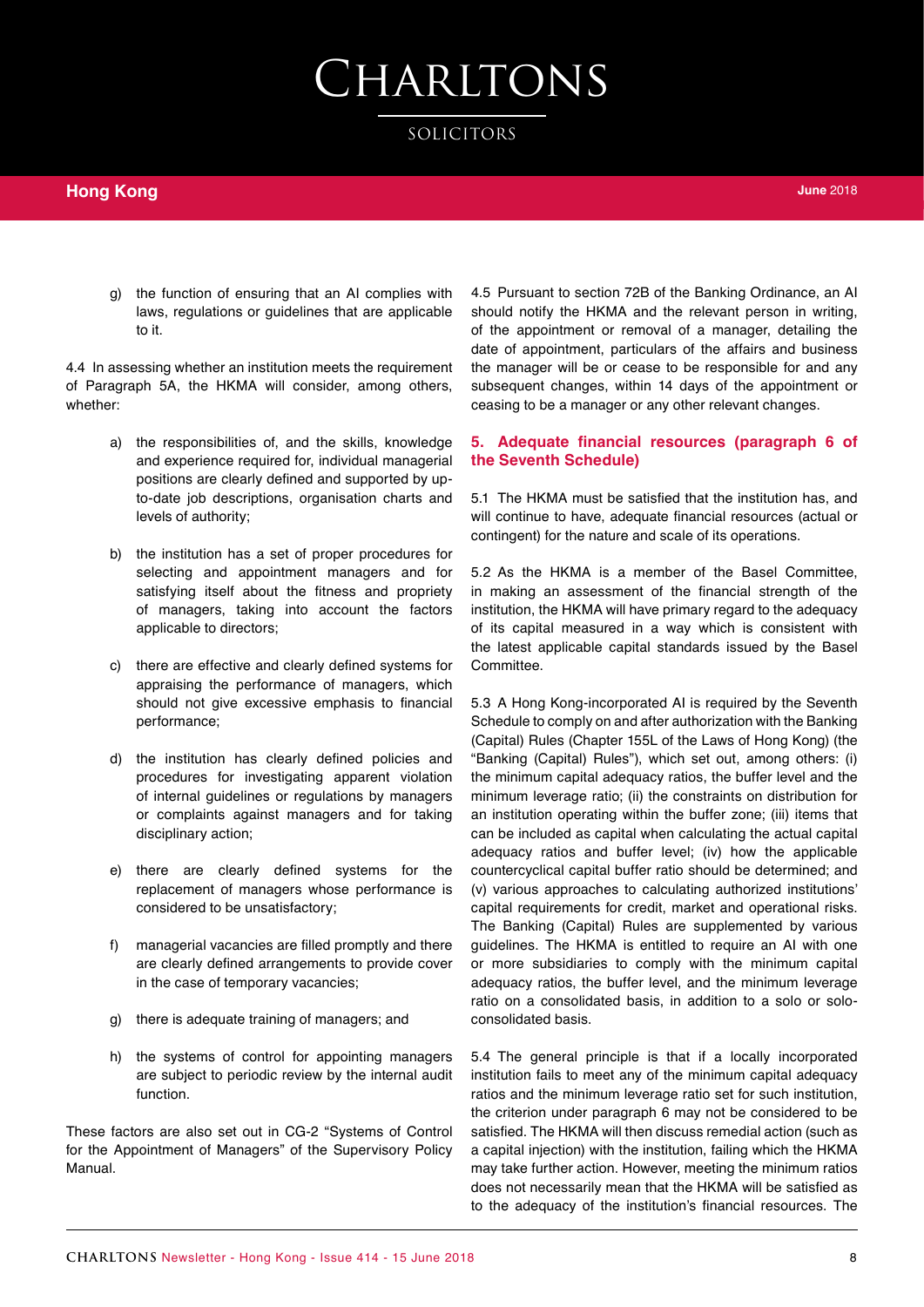SOLICITORS

g) the function of ensuring that an AI complies with laws, regulations or guidelines that are applicable to it.

4.4 In assessing whether an institution meets the requirement of Paragraph 5A, the HKMA will consider, among others, whether:

- a) the responsibilities of, and the skills, knowledge and experience required for, individual managerial positions are clearly defined and supported by upto-date job descriptions, organisation charts and levels of authority;
- b) the institution has a set of proper procedures for selecting and appointment managers and for satisfying itself about the fitness and propriety of managers, taking into account the factors applicable to directors;
- c) there are effective and clearly defined systems for appraising the performance of managers, which should not give excessive emphasis to financial performance;
- d) the institution has clearly defined policies and procedures for investigating apparent violation of internal guidelines or regulations by managers or complaints against managers and for taking disciplinary action;
- e) there are clearly defined systems for the replacement of managers whose performance is considered to be unsatisfactory;
- f) managerial vacancies are filled promptly and there are clearly defined arrangements to provide cover in the case of temporary vacancies;
- g) there is adequate training of managers; and
- h) the systems of control for appointing managers are subject to periodic review by the internal audit function.

These factors are also set out in CG-2 "Systems of Control for the Appointment of Managers" of the Supervisory Policy Manual.

4.5 Pursuant to section 72B of the Banking Ordinance, an AI should notify the HKMA and the relevant person in writing, of the appointment or removal of a manager, detailing the date of appointment, particulars of the affairs and business the manager will be or cease to be responsible for and any subsequent changes, within 14 days of the appointment or ceasing to be a manager or any other relevant changes.

#### **5. Adequate financial resources (paragraph 6 of the Seventh Schedule)**

5.1 The HKMA must be satisfied that the institution has, and will continue to have, adequate financial resources (actual or contingent) for the nature and scale of its operations.

5.2 As the HKMA is a member of the Basel Committee, in making an assessment of the financial strength of the institution, the HKMA will have primary regard to the adequacy of its capital measured in a way which is consistent with the latest applicable capital standards issued by the Basel Committee.

5.3 A Hong Kong-incorporated AI is required by the Seventh Schedule to comply on and after authorization with the Banking (Capital) Rules (Chapter 155L of the Laws of Hong Kong) (the "Banking (Capital) Rules"), which set out, among others: (i) the minimum capital adequacy ratios, the buffer level and the minimum leverage ratio; (ii) the constraints on distribution for an institution operating within the buffer zone; (iii) items that can be included as capital when calculating the actual capital adequacy ratios and buffer level; (iv) how the applicable countercyclical capital buffer ratio should be determined; and (v) various approaches to calculating authorized institutions' capital requirements for credit, market and operational risks. The Banking (Capital) Rules are supplemented by various guidelines. The HKMA is entitled to require an AI with one or more subsidiaries to comply with the minimum capital adequacy ratios, the buffer level, and the minimum leverage ratio on a consolidated basis, in addition to a solo or soloconsolidated basis.

5.4 The general principle is that if a locally incorporated institution fails to meet any of the minimum capital adequacy ratios and the minimum leverage ratio set for such institution, the criterion under paragraph 6 may not be considered to be satisfied. The HKMA will then discuss remedial action (such as a capital injection) with the institution, failing which the HKMA may take further action. However, meeting the minimum ratios does not necessarily mean that the HKMA will be satisfied as to the adequacy of the institution's financial resources. The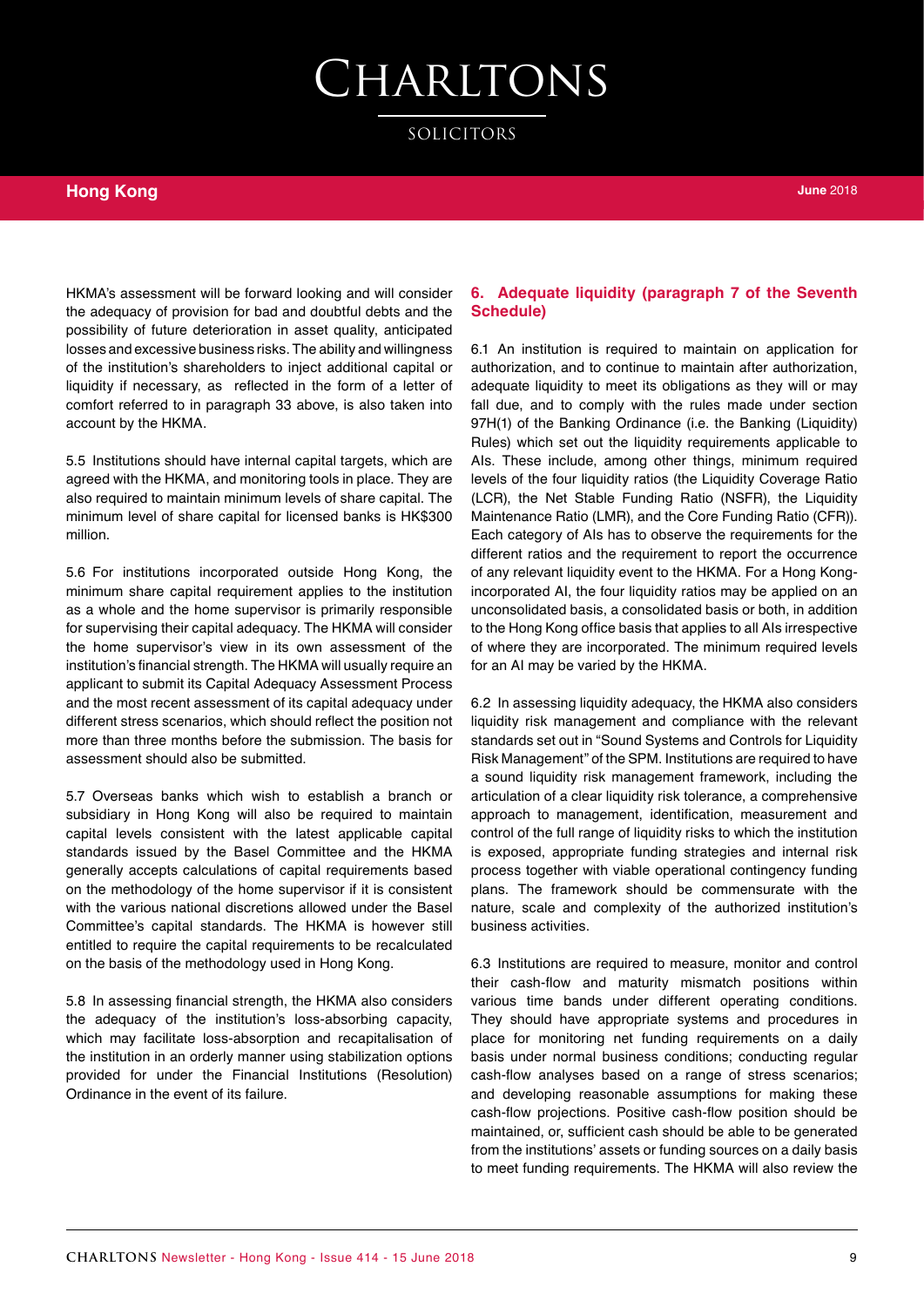SOLICITORS

### **Hong Kong**

HKMA's assessment will be forward looking and will consider the adequacy of provision for bad and doubtful debts and the possibility of future deterioration in asset quality, anticipated losses and excessive business risks. The ability and willingness of the institution's shareholders to inject additional capital or liquidity if necessary, as reflected in the form of a letter of comfort referred to in paragraph 33 above, is also taken into account by the HKMA.

5.5 Institutions should have internal capital targets, which are agreed with the HKMA, and monitoring tools in place. They are also required to maintain minimum levels of share capital. The minimum level of share capital for licensed banks is HK\$300 million.

5.6 For institutions incorporated outside Hong Kong, the minimum share capital requirement applies to the institution as a whole and the home supervisor is primarily responsible for supervising their capital adequacy. The HKMA will consider the home supervisor's view in its own assessment of the institution's financial strength. The HKMA will usually require an applicant to submit its Capital Adequacy Assessment Process and the most recent assessment of its capital adequacy under different stress scenarios, which should reflect the position not more than three months before the submission. The basis for assessment should also be submitted.

5.7 Overseas banks which wish to establish a branch or subsidiary in Hong Kong will also be required to maintain capital levels consistent with the latest applicable capital standards issued by the Basel Committee and the HKMA generally accepts calculations of capital requirements based on the methodology of the home supervisor if it is consistent with the various national discretions allowed under the Basel Committee's capital standards. The HKMA is however still entitled to require the capital requirements to be recalculated on the basis of the methodology used in Hong Kong.

5.8 In assessing financial strength, the HKMA also considers the adequacy of the institution's loss-absorbing capacity, which may facilitate loss-absorption and recapitalisation of the institution in an orderly manner using stabilization options provided for under the Financial Institutions (Resolution) Ordinance in the event of its failure.

#### **6. Adequate liquidity (paragraph 7 of the Seventh Schedule)**

6.1 An institution is required to maintain on application for authorization, and to continue to maintain after authorization, adequate liquidity to meet its obligations as they will or may fall due, and to comply with the rules made under section 97H(1) of the Banking Ordinance (i.e. the Banking (Liquidity) Rules) which set out the liquidity requirements applicable to AIs. These include, among other things, minimum required levels of the four liquidity ratios (the Liquidity Coverage Ratio (LCR), the Net Stable Funding Ratio (NSFR), the Liquidity Maintenance Ratio (LMR), and the Core Funding Ratio (CFR)). Each category of AIs has to observe the requirements for the different ratios and the requirement to report the occurrence of any relevant liquidity event to the HKMA. For a Hong Kongincorporated AI, the four liquidity ratios may be applied on an unconsolidated basis, a consolidated basis or both, in addition to the Hong Kong office basis that applies to all AIs irrespective of where they are incorporated. The minimum required levels for an AI may be varied by the HKMA.

6.2 In assessing liquidity adequacy, the HKMA also considers liquidity risk management and compliance with the relevant standards set out in "Sound Systems and Controls for Liquidity Risk Management" of the SPM. Institutions are required to have a sound liquidity risk management framework, including the articulation of a clear liquidity risk tolerance, a comprehensive approach to management, identification, measurement and control of the full range of liquidity risks to which the institution is exposed, appropriate funding strategies and internal risk process together with viable operational contingency funding plans. The framework should be commensurate with the nature, scale and complexity of the authorized institution's business activities.

6.3 Institutions are required to measure, monitor and control their cash-flow and maturity mismatch positions within various time bands under different operating conditions. They should have appropriate systems and procedures in place for monitoring net funding requirements on a daily basis under normal business conditions; conducting regular cash-flow analyses based on a range of stress scenarios; and developing reasonable assumptions for making these cash-flow projections. Positive cash-flow position should be maintained, or, sufficient cash should be able to be generated from the institutions' assets or funding sources on a daily basis to meet funding requirements. The HKMA will also review the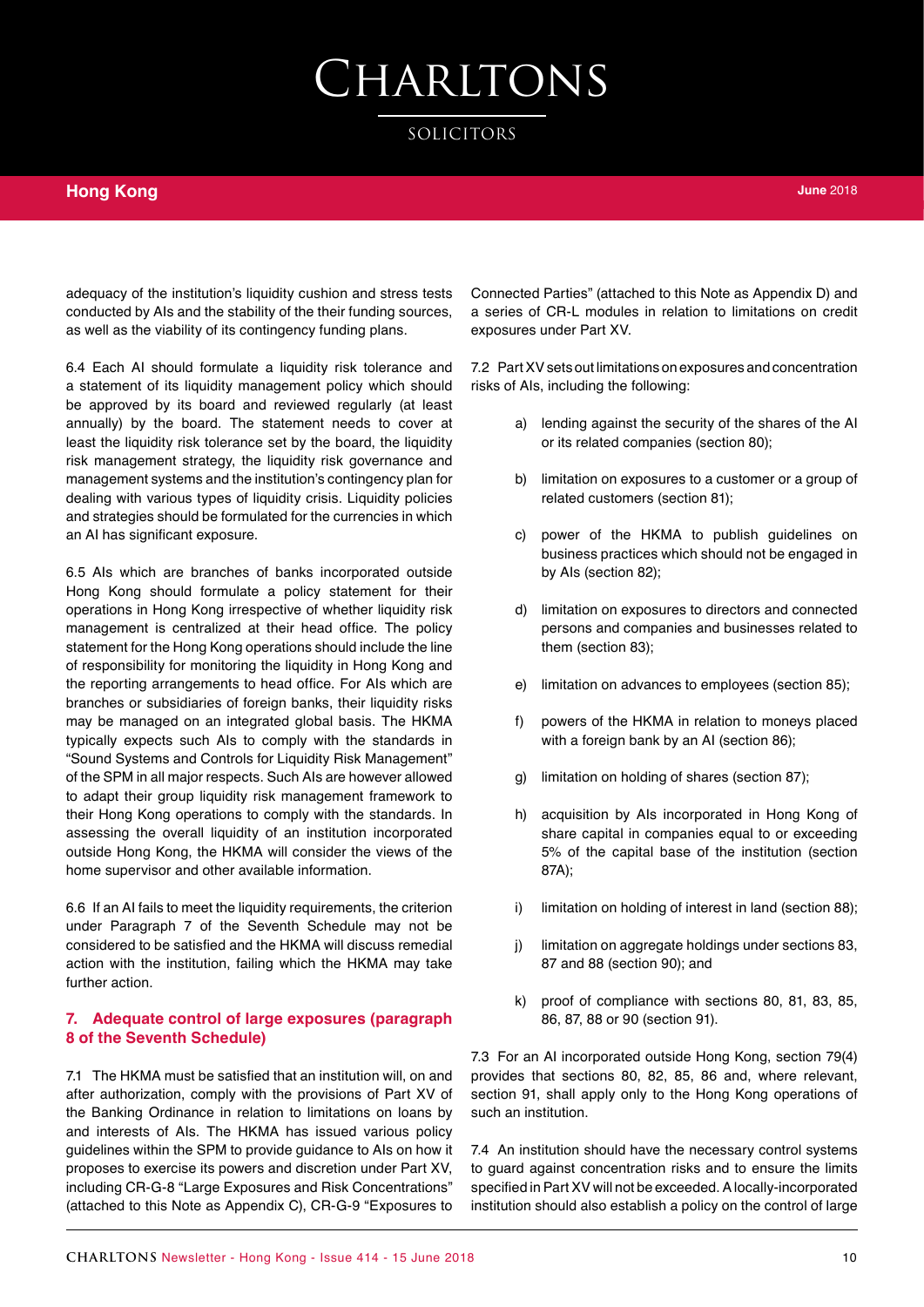SOLICITORS

### **Hong Kong**

adequacy of the institution's liquidity cushion and stress tests conducted by AIs and the stability of the their funding sources, as well as the viability of its contingency funding plans.

6.4 Each AI should formulate a liquidity risk tolerance and a statement of its liquidity management policy which should be approved by its board and reviewed regularly (at least annually) by the board. The statement needs to cover at least the liquidity risk tolerance set by the board, the liquidity risk management strategy, the liquidity risk governance and management systems and the institution's contingency plan for dealing with various types of liquidity crisis. Liquidity policies and strategies should be formulated for the currencies in which an AI has significant exposure.

6.5 AIs which are branches of banks incorporated outside Hong Kong should formulate a policy statement for their operations in Hong Kong irrespective of whether liquidity risk management is centralized at their head office. The policy statement for the Hong Kong operations should include the line of responsibility for monitoring the liquidity in Hong Kong and the reporting arrangements to head office. For AIs which are branches or subsidiaries of foreign banks, their liquidity risks may be managed on an integrated global basis. The HKMA typically expects such AIs to comply with the standards in "Sound Systems and Controls for Liquidity Risk Management" of the SPM in all major respects. Such AIs are however allowed to adapt their group liquidity risk management framework to their Hong Kong operations to comply with the standards. In assessing the overall liquidity of an institution incorporated outside Hong Kong, the HKMA will consider the views of the home supervisor and other available information.

6.6 If an AI fails to meet the liquidity requirements, the criterion under Paragraph 7 of the Seventh Schedule may not be considered to be satisfied and the HKMA will discuss remedial action with the institution, failing which the HKMA may take further action.

#### **7. Adequate control of large exposures (paragraph 8 of the Seventh Schedule)**

7.1 The HKMA must be satisfied that an institution will, on and after authorization, comply with the provisions of Part XV of the Banking Ordinance in relation to limitations on loans by and interests of AIs. The HKMA has issued various policy guidelines within the SPM to provide guidance to AIs on how it proposes to exercise its powers and discretion under Part XV, including CR-G-8 "Large Exposures and Risk Concentrations" (attached to this Note as Appendix C), CR-G-9 "Exposures to

Connected Parties" (attached to this Note as Appendix D) and a series of CR-L modules in relation to limitations on credit exposures under Part XV.

7.2 Part XV sets out limitations on exposures and concentration risks of AIs, including the following:

- a) lending against the security of the shares of the AI or its related companies (section 80);
- b) limitation on exposures to a customer or a group of related customers (section 81);
- c) power of the HKMA to publish guidelines on business practices which should not be engaged in by AIs (section 82);
- d) limitation on exposures to directors and connected persons and companies and businesses related to them (section 83);
- e) limitation on advances to employees (section 85);
- f) powers of the HKMA in relation to moneys placed with a foreign bank by an AI (section 86);
- g) limitation on holding of shares (section 87);
- h) acquisition by AIs incorporated in Hong Kong of share capital in companies equal to or exceeding 5% of the capital base of the institution (section 87A);
- i) limitation on holding of interest in land (section 88);
- j) limitation on aggregate holdings under sections 83, 87 and 88 (section 90); and
- k) proof of compliance with sections 80, 81, 83, 85, 86, 87, 88 or 90 (section 91).

7.3 For an AI incorporated outside Hong Kong, section 79(4) provides that sections 80, 82, 85, 86 and, where relevant, section 91, shall apply only to the Hong Kong operations of such an institution.

7.4 An institution should have the necessary control systems to guard against concentration risks and to ensure the limits specified in Part XV will not be exceeded. A locally-incorporated institution should also establish a policy on the control of large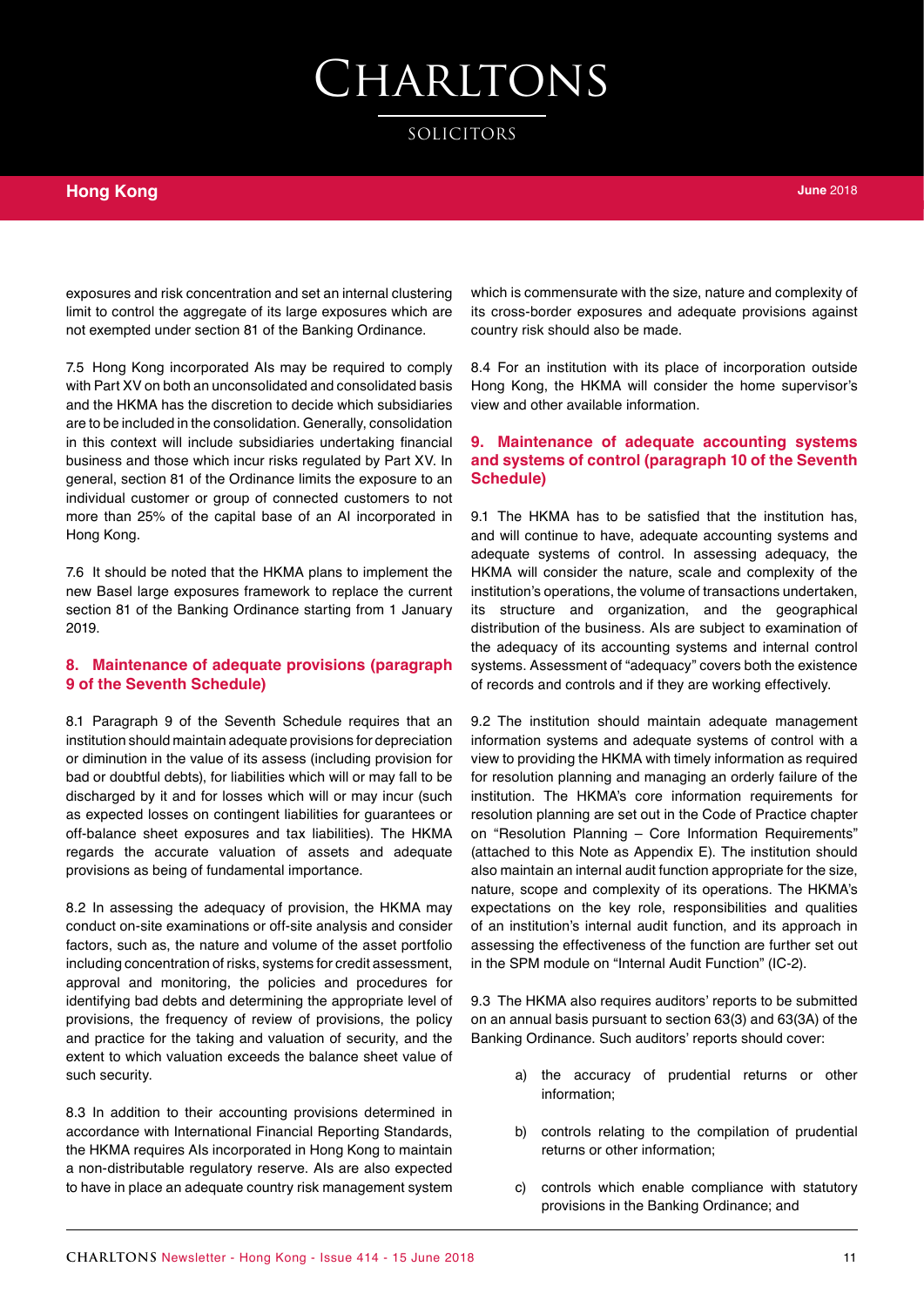SOLICITORS

exposures and risk concentration and set an internal clustering limit to control the aggregate of its large exposures which are not exempted under section 81 of the Banking Ordinance.

7.5 Hong Kong incorporated AIs may be required to comply with Part XV on both an unconsolidated and consolidated basis and the HKMA has the discretion to decide which subsidiaries are to be included in the consolidation. Generally, consolidation in this context will include subsidiaries undertaking financial business and those which incur risks regulated by Part XV. In general, section 81 of the Ordinance limits the exposure to an individual customer or group of connected customers to not more than 25% of the capital base of an AI incorporated in Hong Kong.

7.6 It should be noted that the HKMA plans to implement the new Basel large exposures framework to replace the current section 81 of the Banking Ordinance starting from 1 January 2019.

#### **8. Maintenance of adequate provisions (paragraph 9 of the Seventh Schedule)**

8.1 Paragraph 9 of the Seventh Schedule requires that an institution should maintain adequate provisions for depreciation or diminution in the value of its assess (including provision for bad or doubtful debts), for liabilities which will or may fall to be discharged by it and for losses which will or may incur (such as expected losses on contingent liabilities for guarantees or off-balance sheet exposures and tax liabilities). The HKMA regards the accurate valuation of assets and adequate provisions as being of fundamental importance.

8.2 In assessing the adequacy of provision, the HKMA may conduct on-site examinations or off-site analysis and consider factors, such as, the nature and volume of the asset portfolio including concentration of risks, systems for credit assessment, approval and monitoring, the policies and procedures for identifying bad debts and determining the appropriate level of provisions, the frequency of review of provisions, the policy and practice for the taking and valuation of security, and the extent to which valuation exceeds the balance sheet value of such security.

8.3 In addition to their accounting provisions determined in accordance with International Financial Reporting Standards, the HKMA requires AIs incorporated in Hong Kong to maintain a non-distributable regulatory reserve. AIs are also expected to have in place an adequate country risk management system which is commensurate with the size, nature and complexity of its cross-border exposures and adequate provisions against country risk should also be made.

8.4 For an institution with its place of incorporation outside Hong Kong, the HKMA will consider the home supervisor's view and other available information.

#### **9. Maintenance of adequate accounting systems and systems of control (paragraph 10 of the Seventh Schedule)**

9.1 The HKMA has to be satisfied that the institution has, and will continue to have, adequate accounting systems and adequate systems of control. In assessing adequacy, the HKMA will consider the nature, scale and complexity of the institution's operations, the volume of transactions undertaken, its structure and organization, and the geographical distribution of the business. AIs are subject to examination of the adequacy of its accounting systems and internal control systems. Assessment of "adequacy" covers both the existence of records and controls and if they are working effectively.

9.2 The institution should maintain adequate management information systems and adequate systems of control with a view to providing the HKMA with timely information as required for resolution planning and managing an orderly failure of the institution. The HKMA's core information requirements for resolution planning are set out in the Code of Practice chapter on "Resolution Planning – Core Information Requirements" (attached to this Note as Appendix E). The institution should also maintain an internal audit function appropriate for the size, nature, scope and complexity of its operations. The HKMA's expectations on the key role, responsibilities and qualities of an institution's internal audit function, and its approach in assessing the effectiveness of the function are further set out in the SPM module on "Internal Audit Function" (IC-2).

9.3 The HKMA also requires auditors' reports to be submitted on an annual basis pursuant to section 63(3) and 63(3A) of the Banking Ordinance. Such auditors' reports should cover:

- the accuracy of prudential returns or other information;
- b) controls relating to the compilation of prudential returns or other information;
- c) controls which enable compliance with statutory provisions in the Banking Ordinance; and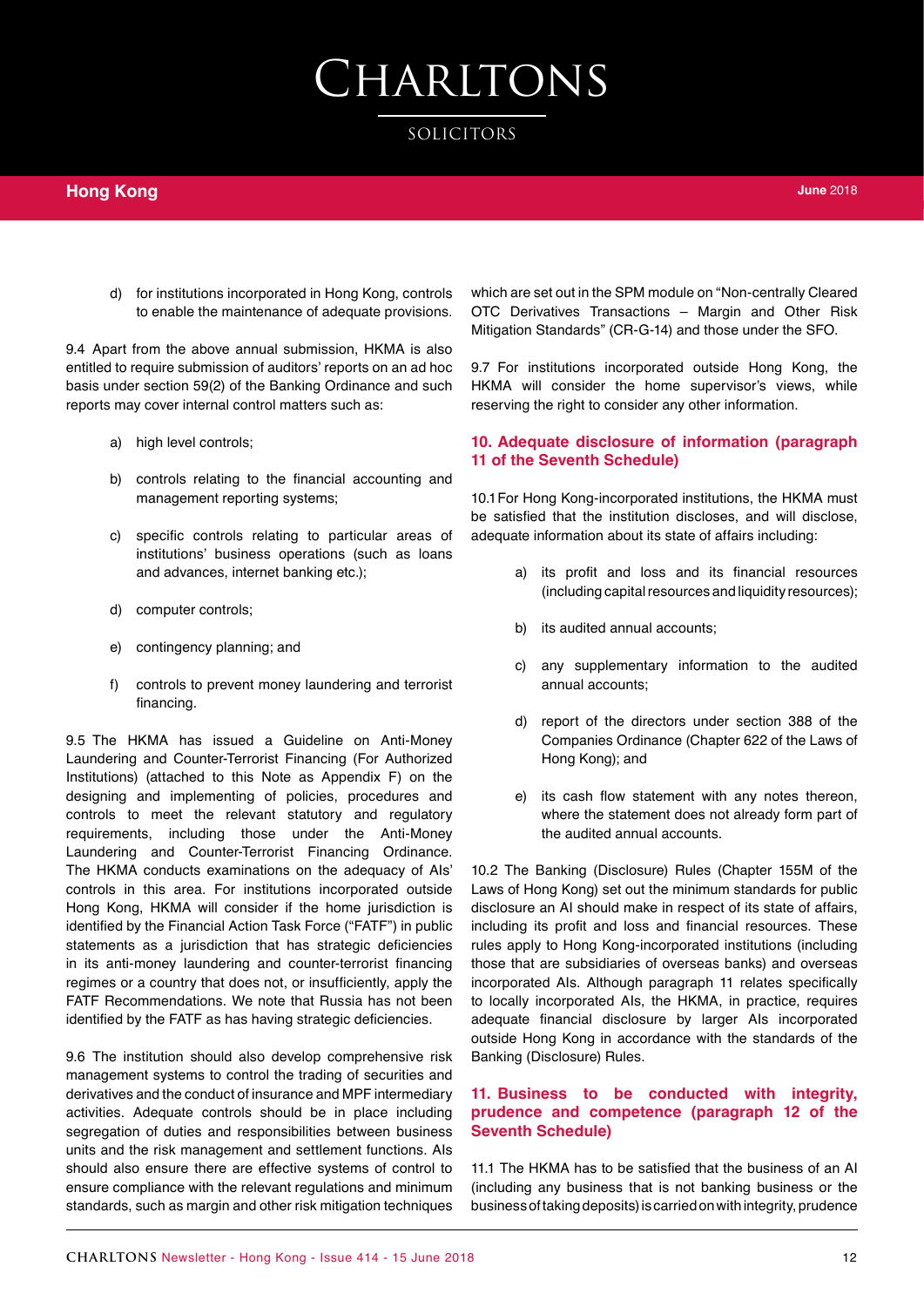SOLICITORS

d) for institutions incorporated in Hong Kong, controls to enable the maintenance of adequate provisions.

9.4 Apart from the above annual submission, HKMA is also entitled to require submission of auditors' reports on an ad hoc basis under section 59(2) of the Banking Ordinance and such reports may cover internal control matters such as:

- a) high level controls;
- b) controls relating to the financial accounting and management reporting systems;
- c) specific controls relating to particular areas of institutions' business operations (such as loans and advances, internet banking etc.);
- d) computer controls;
- e) contingency planning; and
- f) controls to prevent money laundering and terrorist financing.

9.5 The HKMA has issued a Guideline on Anti-Money Laundering and Counter-Terrorist Financing (For Authorized Institutions) (attached to this Note as Appendix F) on the designing and implementing of policies, procedures and controls to meet the relevant statutory and regulatory requirements, including those under the Anti-Money Laundering and Counter-Terrorist Financing Ordinance. The HKMA conducts examinations on the adequacy of AIs' controls in this area. For institutions incorporated outside Hong Kong, HKMA will consider if the home jurisdiction is identified by the Financial Action Task Force ("FATF") in public statements as a jurisdiction that has strategic deficiencies in its anti-money laundering and counter-terrorist financing regimes or a country that does not, or insufficiently, apply the FATF Recommendations. We note that Russia has not been identified by the FATF as has having strategic deficiencies.

9.6 The institution should also develop comprehensive risk management systems to control the trading of securities and derivatives and the conduct of insurance and MPF intermediary activities. Adequate controls should be in place including segregation of duties and responsibilities between business units and the risk management and settlement functions. AIs should also ensure there are effective systems of control to ensure compliance with the relevant regulations and minimum standards, such as margin and other risk mitigation techniques

which are set out in the SPM module on "Non-centrally Cleared OTC Derivatives Transactions – Margin and Other Risk Mitigation Standards" (CR-G-14) and those under the SFO.

9.7 For institutions incorporated outside Hong Kong, the HKMA will consider the home supervisor's views, while reserving the right to consider any other information.

#### **10. Adequate disclosure of information (paragraph 11 of the Seventh Schedule)**

10.1For Hong Kong-incorporated institutions, the HKMA must be satisfied that the institution discloses, and will disclose, adequate information about its state of affairs including:

- a) its profit and loss and its financial resources (including capital resources and liquidity resources);
- b) its audited annual accounts;
- c) any supplementary information to the audited annual accounts;
- d) report of the directors under section 388 of the Companies Ordinance (Chapter 622 of the Laws of Hong Kong); and
- e) its cash flow statement with any notes thereon, where the statement does not already form part of the audited annual accounts.

10.2 The Banking (Disclosure) Rules (Chapter 155M of the Laws of Hong Kong) set out the minimum standards for public disclosure an AI should make in respect of its state of affairs, including its profit and loss and financial resources. These rules apply to Hong Kong-incorporated institutions (including those that are subsidiaries of overseas banks) and overseas incorporated AIs. Although paragraph 11 relates specifically to locally incorporated AIs, the HKMA, in practice, requires adequate financial disclosure by larger AIs incorporated outside Hong Kong in accordance with the standards of the Banking (Disclosure) Rules.

#### **11. Business to be conducted with integrity, prudence and competence (paragraph 12 of the Seventh Schedule)**

11.1 The HKMA has to be satisfied that the business of an AI (including any business that is not banking business or the business of taking deposits) is carried on with integrity, prudence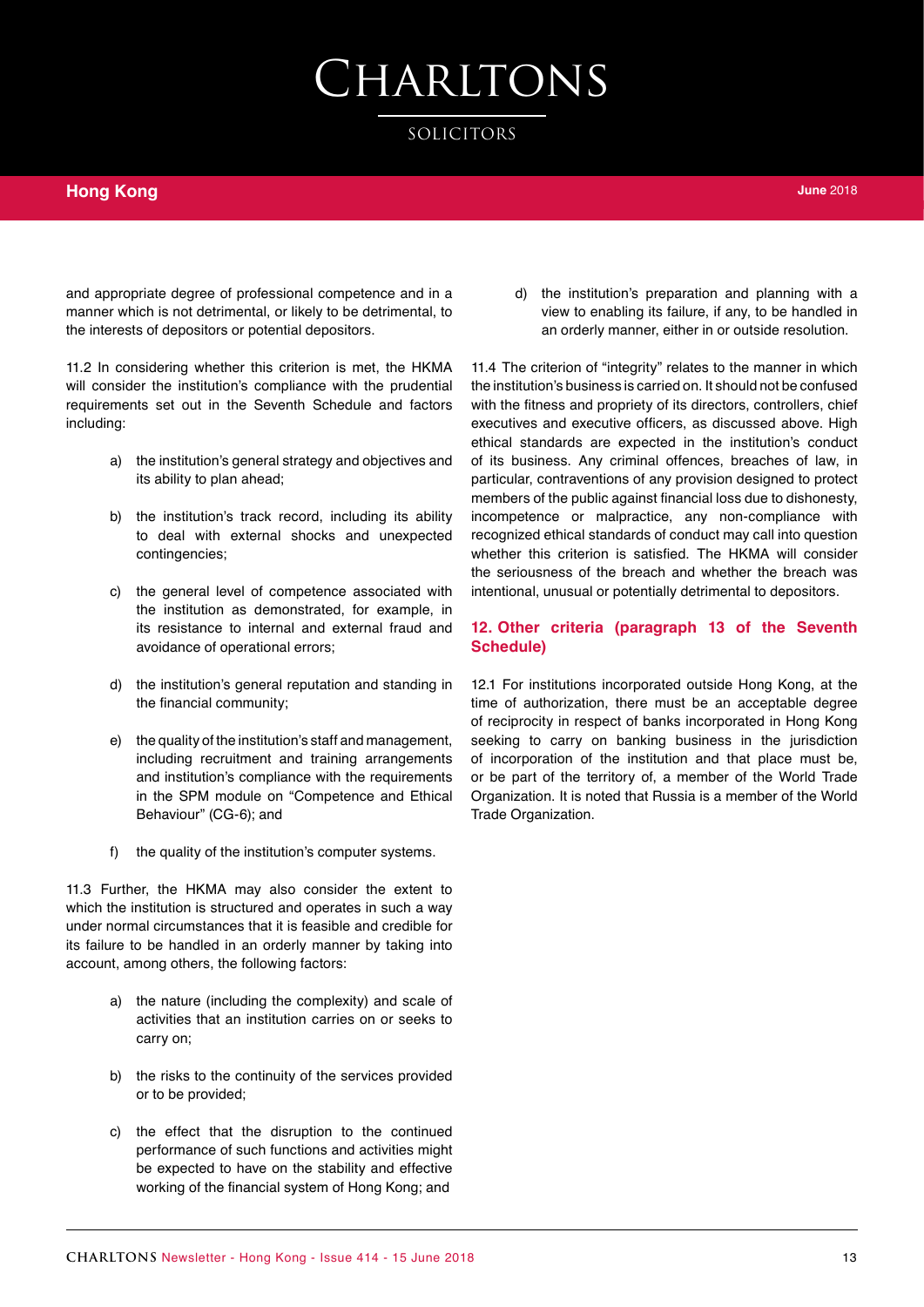SOLICITORS

### **Hong Kong**

and appropriate degree of professional competence and in a manner which is not detrimental, or likely to be detrimental, to the interests of depositors or potential depositors.

11.2 In considering whether this criterion is met, the HKMA will consider the institution's compliance with the prudential requirements set out in the Seventh Schedule and factors including:

- a) the institution's general strategy and objectives and its ability to plan ahead;
- b) the institution's track record, including its ability to deal with external shocks and unexpected contingencies;
- c) the general level of competence associated with the institution as demonstrated, for example, in its resistance to internal and external fraud and avoidance of operational errors;
- d) the institution's general reputation and standing in the financial community;
- e) the quality of the institution's staff and management, including recruitment and training arrangements and institution's compliance with the requirements in the SPM module on "Competence and Ethical Behaviour" (CG-6); and
- f) the quality of the institution's computer systems.

11.3 Further, the HKMA may also consider the extent to which the institution is structured and operates in such a way under normal circumstances that it is feasible and credible for its failure to be handled in an orderly manner by taking into account, among others, the following factors:

- a) the nature (including the complexity) and scale of activities that an institution carries on or seeks to carry on;
- b) the risks to the continuity of the services provided or to be provided;
- c) the effect that the disruption to the continued performance of such functions and activities might be expected to have on the stability and effective working of the financial system of Hong Kong; and

d) the institution's preparation and planning with a view to enabling its failure, if any, to be handled in an orderly manner, either in or outside resolution.

11.4 The criterion of "integrity" relates to the manner in which the institution's business is carried on. It should not be confused with the fitness and propriety of its directors, controllers, chief executives and executive officers, as discussed above. High ethical standards are expected in the institution's conduct of its business. Any criminal offences, breaches of law, in particular, contraventions of any provision designed to protect members of the public against financial loss due to dishonesty, incompetence or malpractice, any non-compliance with recognized ethical standards of conduct may call into question whether this criterion is satisfied. The HKMA will consider the seriousness of the breach and whether the breach was intentional, unusual or potentially detrimental to depositors.

#### **12. Other criteria (paragraph 13 of the Seventh Schedule)**

12.1 For institutions incorporated outside Hong Kong, at the time of authorization, there must be an acceptable degree of reciprocity in respect of banks incorporated in Hong Kong seeking to carry on banking business in the jurisdiction of incorporation of the institution and that place must be, or be part of the territory of, a member of the World Trade Organization. It is noted that Russia is a member of the World Trade Organization.